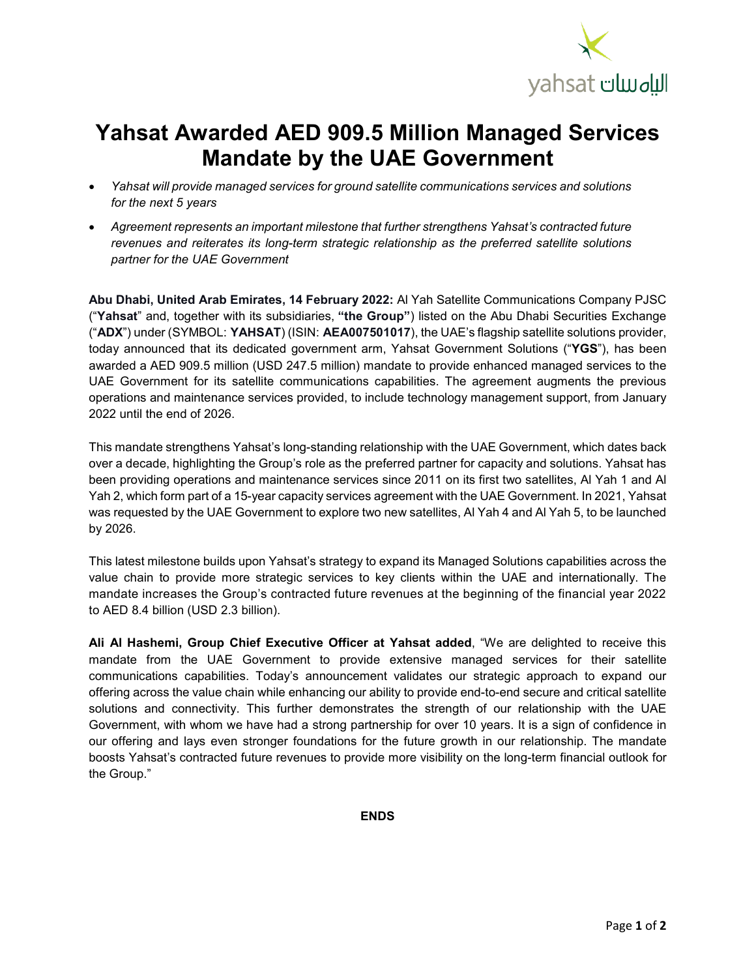

## **Yahsat Awarded AED 909.5 Million Managed Services Mandate by the UAE Government**

- *Yahsat will provide managed services for ground satellite communications services and solutions for the next 5 years*
- *Agreement represents an important milestone that further strengthens Yahsat's contracted future revenues and reiterates its long-term strategic relationship as the preferred satellite solutions partner for the UAE Government*

**Abu Dhabi, United Arab Emirates, 14 February 2022:** Al Yah Satellite Communications Company PJSC ("**Yahsat**" and, together with its subsidiaries, **"the Group"**) listed on the Abu Dhabi Securities Exchange ("**ADX**") under (SYMBOL: **YAHSAT**) (ISIN: **AEA007501017**), the UAE's flagship satellite solutions provider, today announced that its dedicated government arm, Yahsat Government Solutions ("**YGS**"), has been awarded a AED 909.5 million (USD 247.5 million) mandate to provide enhanced managed services to the UAE Government for its satellite communications capabilities. The agreement augments the previous operations and maintenance services provided, to include technology management support, from January 2022 until the end of 2026.

This mandate strengthens Yahsat's long-standing relationship with the UAE Government, which dates back over a decade, highlighting the Group's role as the preferred partner for capacity and solutions. Yahsat has been providing operations and maintenance services since 2011 on its first two satellites, Al Yah 1 and Al Yah 2, which form part of a 15-year capacity services agreement with the UAE Government. In 2021, Yahsat was requested by the UAE Government to explore two new satellites, Al Yah 4 and Al Yah 5, to be launched by 2026.

This latest milestone builds upon Yahsat's strategy to expand its Managed Solutions capabilities across the value chain to provide more strategic services to key clients within the UAE and internationally. The mandate increases the Group's contracted future revenues at the beginning of the financial year 2022 to AED 8.4 billion (USD 2.3 billion).

**Ali Al Hashemi, Group Chief Executive Officer at Yahsat added**, "We are delighted to receive this mandate from the UAE Government to provide extensive managed services for their satellite communications capabilities. Today's announcement validates our strategic approach to expand our offering across the value chain while enhancing our ability to provide end-to-end secure and critical satellite solutions and connectivity. This further demonstrates the strength of our relationship with the UAE Government, with whom we have had a strong partnership for over 10 years. It is a sign of confidence in our offering and lays even stronger foundations for the future growth in our relationship. The mandate boosts Yahsat's contracted future revenues to provide more visibility on the long-term financial outlook for the Group."

**ENDS**